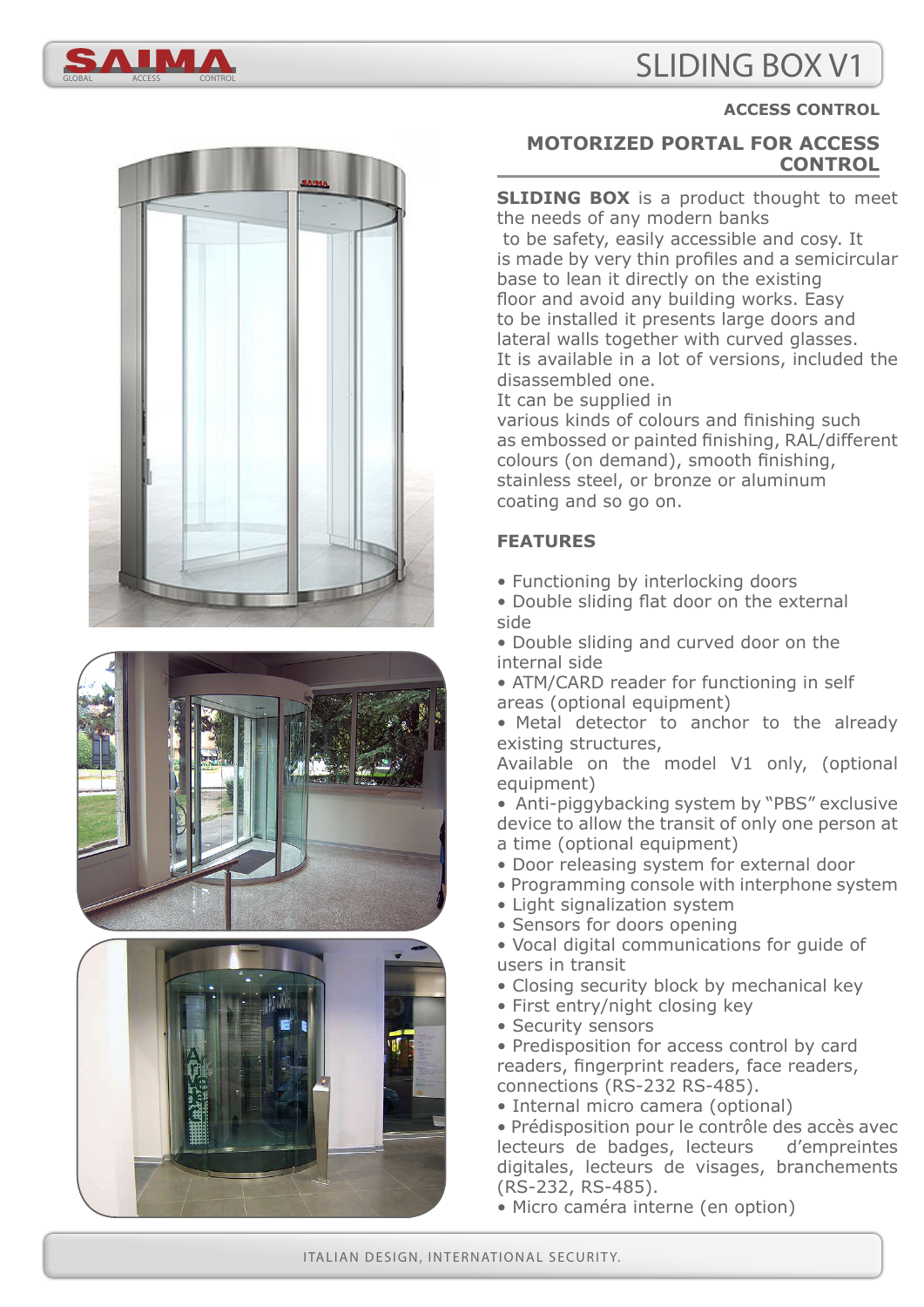# SLIDING BOX V1









#### **ACCESS CONTROL**

# **MOTORIZED PORTAL FOR ACCESS CONTROL**

**SLIDING BOX** is a product thought to meet the needs of any modern banks to be safety, easily accessible and cosy. It is made by very thin profiles and a semicircular base to lean it directly on the existing floor and avoid any building works. Easy to be installed it presents large doors and lateral walls together with curved glasses. It is available in a lot of versions, included the disassembled one.

It can be supplied in

various kinds of colours and finishing such as embossed or painted finishing, RAL/different colours (on demand), smooth finishing, stainless steel, or bronze or aluminum coating and so go on.

# **FEATURES**

- Functioning by interlocking doors
- Double sliding flat door on the external side
- Double sliding and curved door on the internal side
- ATM/CARD reader for functioning in self areas (optional equipment)

• Metal detector to anchor to the already existing structures,

Available on the model V1 only, (optional equipment)

- Anti-piggybacking system by "PBS" exclusive device to allow the transit of only one person at a time (optional equipment)
- Door releasing system for external door
- Programming console with interphone system
- Light signalization system
- Sensors for doors opening
- Vocal digital communications for guide of users in transit
- Closing security block by mechanical key
- First entry/night closing key
- Security sensors

• Predisposition for access control by card readers, fingerprint readers, face readers, connections (RS-232 RS-485).

• Internal micro camera (optional)

• Prédisposition pour le contrôle des accès avec lecteurs de badges, lecteurs d'empreintes digitales, lecteurs de visages, branchements (RS-232, RS-485).

• Micro caméra interne (en option)